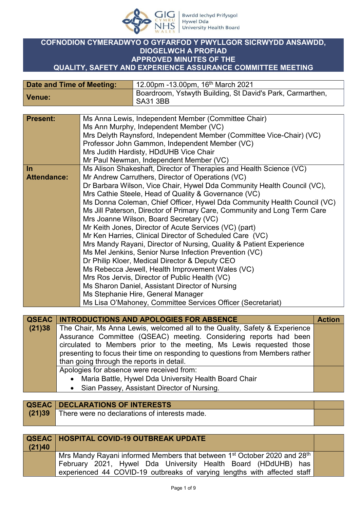

## **COFNODION CYMERADWYO O GYFARFOD Y PWYLLGOR SICRWYDD ANSAWDD, DIOGELWCH A PROFIAD APPROVED MINUTES OF THE QUALITY, SAFETY AND EXPERIENCE ASSURANCE COMMITTEE MEETING**

| Date and Time of Meeting: | 12.00pm -13.00pm, 16 <sup>th</sup> March 2021                                |
|---------------------------|------------------------------------------------------------------------------|
| Venue:                    | Boardroom, Ystwyth Building, St David's Park, Carmarthen,<br><b>SA31 3BB</b> |

| <b>Present:</b>    | Ms Anna Lewis, Independent Member (Committee Chair)                      |
|--------------------|--------------------------------------------------------------------------|
|                    | Ms Ann Murphy, Independent Member (VC)                                   |
|                    | Mrs Delyth Raynsford, Independent Member (Committee Vice-Chair) (VC)     |
|                    | Professor John Gammon, Independent Member (VC)                           |
|                    | Mrs Judith Hardisty, HDdUHB Vice Chair                                   |
|                    | Mr Paul Newman, Independent Member (VC)                                  |
| $\ln$              | Ms Alison Shakeshaft, Director of Therapies and Health Science (VC)      |
| <b>Attendance:</b> | Mr Andrew Carruthers, Director of Operations (VC)                        |
|                    | Dr Barbara Wilson, Vice Chair, Hywel Dda Community Health Council (VC),  |
|                    | Mrs Cathie Steele, Head of Quality & Governance (VC)                     |
|                    | Ms Donna Coleman, Chief Officer, Hywel Dda Community Health Council (VC) |
|                    | Ms Jill Paterson, Director of Primary Care, Community and Long Term Care |
|                    | Mrs Joanne Wilson, Board Secretary (VC)                                  |
|                    | Mr Keith Jones, Director of Acute Services (VC) (part)                   |
|                    | Mr Ken Harries, Clinical Director of Scheduled Care (VC)                 |
|                    | Mrs Mandy Rayani, Director of Nursing, Quality & Patient Experience      |
|                    | Ms Mel Jenkins, Senior Nurse Infection Prevention (VC)                   |
|                    | Dr Philip Kloer, Medical Director & Deputy CEO                           |
|                    | Ms Rebecca Jewell, Health Improvement Wales (VC)                         |
|                    | Mrs Ros Jervis, Director of Public Health (VC)                           |
|                    | Ms Sharon Daniel, Assistant Director of Nursing                          |
|                    | Ms Stephanie Hire, General Manager                                       |
|                    | Ms Lisa O'Mahoney, Committee Services Officer (Secretariat)              |
|                    |                                                                          |

|        | <b>QSEAC INTRODUCTIONS AND APOLOGIES FOR ABSENCE</b>                          | <b>Action</b> |
|--------|-------------------------------------------------------------------------------|---------------|
| (21)38 | The Chair, Ms Anna Lewis, welcomed all to the Quality, Safety & Experience    |               |
|        | Assurance Committee (QSEAC) meeting. Considering reports had been             |               |
|        | circulated to Members prior to the meeting, Ms Lewis requested those          |               |
|        | presenting to focus their time on responding to questions from Members rather |               |
|        | than going through the reports in detail.                                     |               |
|        | Apologies for absence were received from:                                     |               |
|        | • Maria Battle, Hywel Dda University Health Board Chair                       |               |
|        | • Sian Passey, Assistant Director of Nursing.                                 |               |

|        | <b>QSEAC   DECLARATIONS OF INTERESTS</b>      |  |
|--------|-----------------------------------------------|--|
| (21)39 | There were no declarations of interests made. |  |
|        |                                               |  |

| (21)40 | <b>QSEAC   HOSPITAL COVID-19 OUTBREAK UPDATE</b>                                                                                                                                                                                              |  |
|--------|-----------------------------------------------------------------------------------------------------------------------------------------------------------------------------------------------------------------------------------------------|--|
|        | Mrs Mandy Rayani informed Members that between 1 <sup>st</sup> October 2020 and 28 <sup>th</sup><br>February 2021, Hywel Dda University Health Board (HDdUHB) has<br>experienced 44 COVID-19 outbreaks of varying lengths with affected staff |  |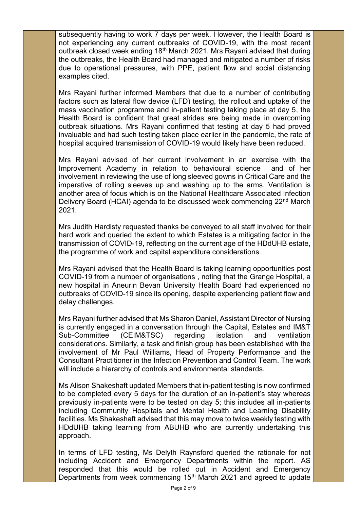subsequently having to work 7 days per week. However, the Health Board is not experiencing any current outbreaks of COVID-19, with the most recent outbreak closed week ending 18<sup>th</sup> March 2021. Mrs Rayani advised that during the outbreaks, the Health Board had managed and mitigated a number of risks due to operational pressures, with PPE, patient flow and social distancing examples cited.

Mrs Rayani further informed Members that due to a number of contributing factors such as lateral flow device (LFD) testing, the rollout and uptake of the mass vaccination programme and in-patient testing taking place at day 5, the Health Board is confident that great strides are being made in overcoming outbreak situations. Mrs Rayani confirmed that testing at day 5 had proved invaluable and had such testing taken place earlier in the pandemic, the rate of hospital acquired transmission of COVID-19 would likely have been reduced.

Mrs Rayani advised of her current involvement in an exercise with the Improvement Academy in relation to behavioural science and of her involvement in reviewing the use of long sleeved gowns in Critical Care and the imperative of rolling sleeves up and washing up to the arms. Ventilation is another area of focus which is on the National Healthcare Associated Infection Delivery Board (HCAI) agenda to be discussed week commencing 22nd March 2021.

Mrs Judith Hardisty requested thanks be conveyed to all staff involved for their hard work and queried the extent to which Estates is a mitigating factor in the transmission of COVID-19, reflecting on the current age of the HDdUHB estate, the programme of work and capital expenditure considerations.

Mrs Rayani advised that the Health Board is taking learning opportunities post COVID-19 from a number of organisations , noting that the Grange Hospital, a new hospital in Aneurin Bevan University Health Board had experienced no outbreaks of COVID-19 since its opening, despite experiencing patient flow and delay challenges.

Mrs Rayani further advised that Ms Sharon Daniel, Assistant Director of Nursing is currently engaged in a conversation through the Capital, Estates and IM&T Sub-Committee (CEIM&TSC) regarding isolation and ventilation considerations. Similarly, a task and finish group has been established with the involvement of Mr Paul Williams, Head of Property Performance and the Consultant Practitioner in the Infection Prevention and Control Team. The work will include a hierarchy of controls and environmental standards.

Ms Alison Shakeshaft updated Members that in-patient testing is now confirmed to be completed every 5 days for the duration of an in-patient's stay whereas previously in-patients were to be tested on day 5; this includes all in-patients including Community Hospitals and Mental Health and Learning Disability facilities. Ms Shakeshaft advised that this may move to twice weekly testing with HDdUHB taking learning from ABUHB who are currently undertaking this approach.

In terms of LFD testing, Ms Delyth Raynsford queried the rationale for not including Accident and Emergency Departments within the report. AS responded that this would be rolled out in Accident and Emergency Departments from week commencing 15<sup>th</sup> March 2021 and agreed to update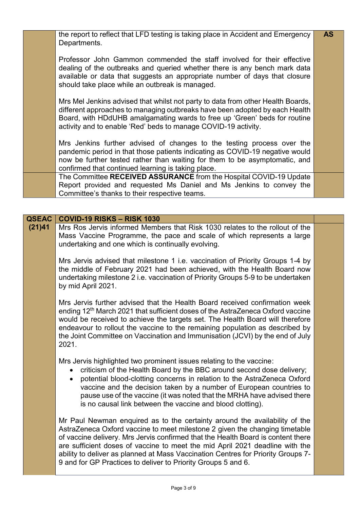| the report to reflect that LFD testing is taking place in Accident and Emergency<br>Departments.                                                                                                                                                                                                              | <b>AS</b> |
|---------------------------------------------------------------------------------------------------------------------------------------------------------------------------------------------------------------------------------------------------------------------------------------------------------------|-----------|
| Professor John Gammon commended the staff involved for their effective<br>dealing of the outbreaks and queried whether there is any bench mark data<br>available or data that suggests an appropriate number of days that closure<br>should take place while an outbreak is managed.                          |           |
| Mrs Mel Jenkins advised that whilst not party to data from other Health Boards,<br>different approaches to managing outbreaks have been adopted by each Health<br>Board, with HDdUHB amalgamating wards to free up 'Green' beds for routine<br>activity and to enable 'Red' beds to manage COVID-19 activity. |           |
| Mrs Jenkins further advised of changes to the testing process over the<br>pandemic period in that those patients indicating as COVID-19 negative would<br>now be further tested rather than waiting for them to be asymptomatic, and<br>confirmed that continued learning is taking place.                    |           |
| The Committee RECEIVED ASSURANCE from the Hospital COVID-19 Update<br>Report provided and requested Ms Daniel and Ms Jenkins to convey the<br>Committee's thanks to their respective teams.                                                                                                                   |           |

## **QSEAC COVID-19 RISKS – RISK 1030**

**(21)41** Mrs Ros Jervis informed Members that Risk 1030 relates to the rollout of the Mass Vaccine Programme, the pace and scale of which represents a large undertaking and one which is continually evolving.

> Mrs Jervis advised that milestone 1 i.e. vaccination of Priority Groups 1-4 by the middle of February 2021 had been achieved, with the Health Board now undertaking milestone 2 i.e. vaccination of Priority Groups 5-9 to be undertaken by mid April 2021.

> Mrs Jervis further advised that the Health Board received confirmation week ending 12<sup>th</sup> March 2021 that sufficient doses of the AstraZeneca Oxford vaccine would be received to achieve the targets set. The Health Board will therefore endeavour to rollout the vaccine to the remaining population as described by the Joint Committee on Vaccination and Immunisation (JCVI) by the end of July 2021.

Mrs Jervis highlighted two prominent issues relating to the vaccine:

- criticism of the Health Board by the BBC around second dose delivery;
- potential blood-clotting concerns in relation to the AstraZeneca Oxford vaccine and the decision taken by a number of European countries to pause use of the vaccine (it was noted that the MRHA have advised there is no causal link between the vaccine and blood clotting).

Mr Paul Newman enquired as to the certainty around the availability of the AstraZeneca Oxford vaccine to meet milestone 2 given the changing timetable of vaccine delivery. Mrs Jervis confirmed that the Health Board is content there are sufficient doses of vaccine to meet the mid April 2021 deadline with the ability to deliver as planned at Mass Vaccination Centres for Priority Groups 7- 9 and for GP Practices to deliver to Priority Groups 5 and 6.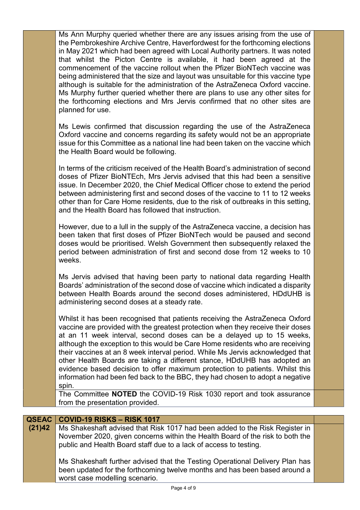|                        | Ms Ann Murphy queried whether there are any issues arising from the use of<br>the Pembrokeshire Archive Centre, Haverfordwest for the forthcoming elections<br>in May 2021 which had been agreed with Local Authority partners. It was noted<br>that whilst the Picton Centre is available, it had been agreed at the<br>commencement of the vaccine rollout when the Pfizer BioNTech vaccine was<br>being administered that the size and layout was unsuitable for this vaccine type<br>although is suitable for the administration of the AstraZeneca Oxford vaccine.<br>Ms Murphy further queried whether there are plans to use any other sites for<br>the forthcoming elections and Mrs Jervis confirmed that no other sites are<br>planned for use. |  |
|------------------------|-----------------------------------------------------------------------------------------------------------------------------------------------------------------------------------------------------------------------------------------------------------------------------------------------------------------------------------------------------------------------------------------------------------------------------------------------------------------------------------------------------------------------------------------------------------------------------------------------------------------------------------------------------------------------------------------------------------------------------------------------------------|--|
|                        | Ms Lewis confirmed that discussion regarding the use of the AstraZeneca<br>Oxford vaccine and concerns regarding its safety would not be an appropriate<br>issue for this Committee as a national line had been taken on the vaccine which<br>the Health Board would be following.                                                                                                                                                                                                                                                                                                                                                                                                                                                                        |  |
|                        | In terms of the criticism received of the Health Board's administration of second<br>doses of Pfizer BioNTEch, Mrs Jervis advised that this had been a sensitive<br>issue. In December 2020, the Chief Medical Officer chose to extend the period<br>between administering first and second doses of the vaccine to 11 to 12 weeks<br>other than for Care Home residents, due to the risk of outbreaks in this setting,<br>and the Health Board has followed that instruction.                                                                                                                                                                                                                                                                            |  |
|                        | However, due to a lull in the supply of the AstraZeneca vaccine, a decision has<br>been taken that first doses of Pfizer BioNTech would be paused and second<br>doses would be prioritised. Welsh Government then subsequently relaxed the<br>period between administration of first and second dose from 12 weeks to 10<br>weeks.                                                                                                                                                                                                                                                                                                                                                                                                                        |  |
|                        | Ms Jervis advised that having been party to national data regarding Health<br>Boards' administration of the second dose of vaccine which indicated a disparity<br>between Health Boards around the second doses administered, HDdUHB is<br>administering second doses at a steady rate.                                                                                                                                                                                                                                                                                                                                                                                                                                                                   |  |
|                        | Whilst it has been recognised that patients receiving the AstraZeneca Oxford<br>vaccine are provided with the greatest protection when they receive their doses<br>at an 11 week interval, second doses can be a delayed up to 15 weeks,<br>although the exception to this would be Care Home residents who are receiving<br>their vaccines at an 8 week interval period. While Ms Jervis acknowledged that<br>other Health Boards are taking a different stance, HDdUHB has adopted an<br>evidence based decision to offer maximum protection to patients. Whilst this<br>information had been fed back to the BBC, they had chosen to adopt a negative<br>spin.                                                                                         |  |
|                        | The Committee NOTED the COVID-19 Risk 1030 report and took assurance<br>from the presentation provided.                                                                                                                                                                                                                                                                                                                                                                                                                                                                                                                                                                                                                                                   |  |
|                        |                                                                                                                                                                                                                                                                                                                                                                                                                                                                                                                                                                                                                                                                                                                                                           |  |
| <b>QSEAC</b><br>(21)42 | COVID-19 RISKS - RISK 1017<br>Ms Shakeshaft advised that Risk 1017 had been added to the Risk Register in                                                                                                                                                                                                                                                                                                                                                                                                                                                                                                                                                                                                                                                 |  |
|                        | November 2020, given concerns within the Health Board of the risk to both the<br>public and Health Board staff due to a lack of access to testing.                                                                                                                                                                                                                                                                                                                                                                                                                                                                                                                                                                                                        |  |
|                        | Ms Shakeshaft further advised that the Testing Operational Delivery Plan has<br>been updated for the forthcoming twelve months and has been based around a<br>worst case modelling scenario.                                                                                                                                                                                                                                                                                                                                                                                                                                                                                                                                                              |  |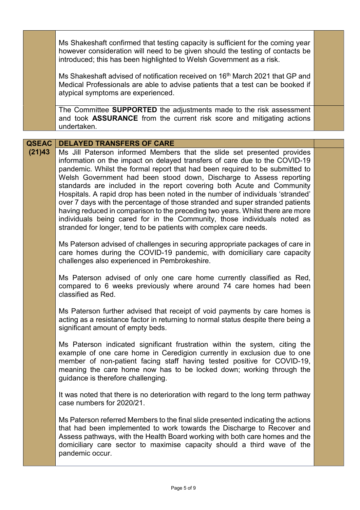|                        | Ms Shakeshaft confirmed that testing capacity is sufficient for the coming year<br>however consideration will need to be given should the testing of contacts be<br>introduced; this has been highlighted to Welsh Government as a risk.                                                                                                                                                                                                                                                                                                                                                                                                                                                                                                                                                                                         |  |
|------------------------|----------------------------------------------------------------------------------------------------------------------------------------------------------------------------------------------------------------------------------------------------------------------------------------------------------------------------------------------------------------------------------------------------------------------------------------------------------------------------------------------------------------------------------------------------------------------------------------------------------------------------------------------------------------------------------------------------------------------------------------------------------------------------------------------------------------------------------|--|
|                        | Ms Shakeshaft advised of notification received on 16 <sup>th</sup> March 2021 that GP and<br>Medical Professionals are able to advise patients that a test can be booked if<br>atypical symptoms are experienced.                                                                                                                                                                                                                                                                                                                                                                                                                                                                                                                                                                                                                |  |
|                        | The Committee SUPPORTED the adjustments made to the risk assessment<br>and took ASSURANCE from the current risk score and mitigating actions<br>undertaken.                                                                                                                                                                                                                                                                                                                                                                                                                                                                                                                                                                                                                                                                      |  |
|                        |                                                                                                                                                                                                                                                                                                                                                                                                                                                                                                                                                                                                                                                                                                                                                                                                                                  |  |
| <b>QSEAC</b><br>(21)43 | <b>DELAYED TRANSFERS OF CARE</b><br>Ms Jill Paterson informed Members that the slide set presented provides<br>information on the impact on delayed transfers of care due to the COVID-19<br>pandemic. Whilst the formal report that had been required to be submitted to<br>Welsh Government had been stood down, Discharge to Assess reporting<br>standards are included in the report covering both Acute and Community<br>Hospitals. A rapid drop has been noted in the number of individuals 'stranded'<br>over 7 days with the percentage of those stranded and super stranded patients<br>having reduced in comparison to the preceding two years. Whilst there are more<br>individuals being cared for in the Community, those individuals noted as<br>stranded for longer, tend to be patients with complex care needs. |  |
|                        | Ms Paterson advised of challenges in securing appropriate packages of care in<br>care homes during the COVID-19 pandemic, with domiciliary care capacity<br>challenges also experienced in Pembrokeshire.                                                                                                                                                                                                                                                                                                                                                                                                                                                                                                                                                                                                                        |  |
|                        | Ms Paterson advised of only one care home currently classified as Red,<br>compared to 6 weeks previously where around 74 care homes had been<br>classified as Red.                                                                                                                                                                                                                                                                                                                                                                                                                                                                                                                                                                                                                                                               |  |
|                        | Ms Paterson further advised that receipt of void payments by care homes is<br>acting as a resistance factor in returning to normal status despite there being a<br>significant amount of empty beds.                                                                                                                                                                                                                                                                                                                                                                                                                                                                                                                                                                                                                             |  |
|                        | Ms Paterson indicated significant frustration within the system, citing the<br>example of one care home in Ceredigion currently in exclusion due to one<br>member of non-patient facing staff having tested positive for COVID-19,<br>meaning the care home now has to be locked down; working through the<br>guidance is therefore challenging.                                                                                                                                                                                                                                                                                                                                                                                                                                                                                 |  |
|                        | It was noted that there is no deterioration with regard to the long term pathway<br>case numbers for 2020/21.                                                                                                                                                                                                                                                                                                                                                                                                                                                                                                                                                                                                                                                                                                                    |  |
|                        | Ms Paterson referred Members to the final slide presented indicating the actions<br>that had been implemented to work towards the Discharge to Recover and<br>Assess pathways, with the Health Board working with both care homes and the<br>domiciliary care sector to maximise capacity should a third wave of the<br>pandemic occur.                                                                                                                                                                                                                                                                                                                                                                                                                                                                                          |  |
|                        |                                                                                                                                                                                                                                                                                                                                                                                                                                                                                                                                                                                                                                                                                                                                                                                                                                  |  |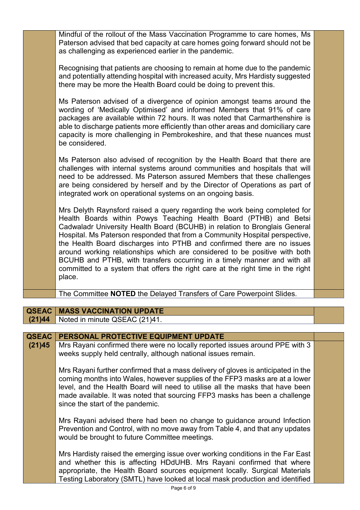|              | Mindful of the rollout of the Mass Vaccination Programme to care homes, Ms<br>Paterson advised that bed capacity at care homes going forward should not be<br>as challenging as experienced earlier in the pandemic.                                                                                                                                                                                                                                                                                                                                                                                                                           |  |
|--------------|------------------------------------------------------------------------------------------------------------------------------------------------------------------------------------------------------------------------------------------------------------------------------------------------------------------------------------------------------------------------------------------------------------------------------------------------------------------------------------------------------------------------------------------------------------------------------------------------------------------------------------------------|--|
|              | Recognising that patients are choosing to remain at home due to the pandemic<br>and potentially attending hospital with increased acuity, Mrs Hardisty suggested<br>there may be more the Health Board could be doing to prevent this.                                                                                                                                                                                                                                                                                                                                                                                                         |  |
|              | Ms Paterson advised of a divergence of opinion amongst teams around the<br>wording of 'Medically Optimised' and informed Members that 91% of care<br>packages are available within 72 hours. It was noted that Carmarthenshire is<br>able to discharge patients more efficiently than other areas and domiciliary care<br>capacity is more challenging in Pembrokeshire, and that these nuances must<br>be considered.                                                                                                                                                                                                                         |  |
|              | Ms Paterson also advised of recognition by the Health Board that there are<br>challenges with internal systems around communities and hospitals that will<br>need to be addressed. Ms Paterson assured Members that these challenges<br>are being considered by herself and by the Director of Operations as part of<br>integrated work on operational systems on an ongoing basis.                                                                                                                                                                                                                                                            |  |
|              | Mrs Delyth Raynsford raised a query regarding the work being completed for<br>Health Boards within Powys Teaching Health Board (PTHB) and Betsi<br>Cadwaladr University Health Board (BCUHB) in relation to Bronglais General<br>Hospital. Ms Paterson responded that from a Community Hospital perspective,<br>the Health Board discharges into PTHB and confirmed there are no issues<br>around working relationships which are considered to be positive with both<br>BCUHB and PTHB, with transfers occurring in a timely manner and with all<br>committed to a system that offers the right care at the right time in the right<br>place. |  |
|              | The Committee NOTED the Delayed Transfers of Care Powerpoint Slides.                                                                                                                                                                                                                                                                                                                                                                                                                                                                                                                                                                           |  |
|              |                                                                                                                                                                                                                                                                                                                                                                                                                                                                                                                                                                                                                                                |  |
| <b>QSEAC</b> | <b>MASS VACCINATION UPDATE</b>                                                                                                                                                                                                                                                                                                                                                                                                                                                                                                                                                                                                                 |  |
| (21)44       | Noted in minute QSEAC (21)41.                                                                                                                                                                                                                                                                                                                                                                                                                                                                                                                                                                                                                  |  |
| <b>QSEAC</b> | PERSONAL PROTECTIVE EQUIPMENT UPDATE                                                                                                                                                                                                                                                                                                                                                                                                                                                                                                                                                                                                           |  |
| (21)45       | Mrs Rayani confirmed there were no locally reported issues around PPE with 3<br>weeks supply held centrally, although national issues remain.                                                                                                                                                                                                                                                                                                                                                                                                                                                                                                  |  |
|              | Mrs Rayani further confirmed that a mass delivery of gloves is anticipated in the<br>coming months into Wales, however supplies of the FFP3 masks are at a lower<br>level, and the Health Board will need to utilise all the masks that have been<br>made available. It was noted that sourcing FFP3 masks has been a challenge<br>since the start of the pandemic.                                                                                                                                                                                                                                                                            |  |
|              | Mrs Rayani advised there had been no change to guidance around Infection<br>Prevention and Control, with no move away from Table 4, and that any updates<br>would be brought to future Committee meetings.                                                                                                                                                                                                                                                                                                                                                                                                                                     |  |
|              | Mrs Hardisty raised the emerging issue over working conditions in the Far East<br>and whether this is affecting HDdUHB. Mrs Rayani confirmed that where<br>appropriate, the Health Board sources equipment locally. Surgical Materials<br>Testing Laboratory (SMTL) have looked at local mask production and identified                                                                                                                                                                                                                                                                                                                        |  |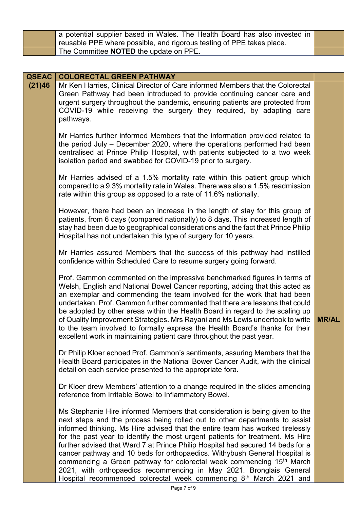| a potential supplier based in Wales. The Health Board has also invested in |  |
|----------------------------------------------------------------------------|--|
| reusable PPE where possible, and rigorous testing of PPE takes place.      |  |
| The Committee NOTED the update on PPE.                                     |  |

| <b>QSEAC</b> | <b>COLORECTAL GREEN PATHWAY</b>                                                                                                                                                                                                                                                                                                                                                                                                                                                                                                                                                                                                                                                                                                           |              |
|--------------|-------------------------------------------------------------------------------------------------------------------------------------------------------------------------------------------------------------------------------------------------------------------------------------------------------------------------------------------------------------------------------------------------------------------------------------------------------------------------------------------------------------------------------------------------------------------------------------------------------------------------------------------------------------------------------------------------------------------------------------------|--------------|
| (21)46       | Mr Ken Harries, Clinical Director of Care informed Members that the Colorectal<br>Green Pathway had been introduced to provide continuing cancer care and<br>urgent surgery throughout the pandemic, ensuring patients are protected from<br>COVID-19 while receiving the surgery they required, by adapting care<br>pathways.                                                                                                                                                                                                                                                                                                                                                                                                            |              |
|              | Mr Harries further informed Members that the information provided related to<br>the period July – December 2020, where the operations performed had been<br>centralised at Prince Philip Hospital, with patients subjected to a two week<br>isolation period and swabbed for COVID-19 prior to surgery.                                                                                                                                                                                                                                                                                                                                                                                                                                   |              |
|              | Mr Harries advised of a 1.5% mortality rate within this patient group which<br>compared to a 9.3% mortality rate in Wales. There was also a 1.5% readmission<br>rate within this group as opposed to a rate of 11.6% nationally.                                                                                                                                                                                                                                                                                                                                                                                                                                                                                                          |              |
|              | However, there had been an increase in the length of stay for this group of<br>patients, from 6 days (compared nationally) to 8 days. This increased length of<br>stay had been due to geographical considerations and the fact that Prince Philip<br>Hospital has not undertaken this type of surgery for 10 years.                                                                                                                                                                                                                                                                                                                                                                                                                      |              |
|              | Mr Harries assured Members that the success of this pathway had instilled<br>confidence within Scheduled Care to resume surgery going forward.                                                                                                                                                                                                                                                                                                                                                                                                                                                                                                                                                                                            |              |
|              | Prof. Gammon commented on the impressive benchmarked figures in terms of<br>Welsh, English and National Bowel Cancer reporting, adding that this acted as<br>an exemplar and commending the team involved for the work that had been<br>undertaken. Prof. Gammon further commented that there are lessons that could<br>be adopted by other areas within the Health Board in regard to the scaling up<br>of Quality Improvement Strategies. Mrs Rayani and Ms Lewis undertook to write<br>to the team involved to formally express the Health Board's thanks for their<br>excellent work in maintaining patient care throughout the past year.                                                                                            | <b>MR/AL</b> |
|              | Dr Philip Kloer echoed Prof. Gammon's sentiments, assuring Members that the<br>Health Board participates in the National Bower Cancer Audit, with the clinical<br>detail on each service presented to the appropriate fora.                                                                                                                                                                                                                                                                                                                                                                                                                                                                                                               |              |
|              | Dr Kloer drew Members' attention to a change required in the slides amending<br>reference from Irritable Bowel to Inflammatory Bowel.                                                                                                                                                                                                                                                                                                                                                                                                                                                                                                                                                                                                     |              |
|              | Ms Stephanie Hire informed Members that consideration is being given to the<br>next steps and the process being rolled out to other departments to assist<br>informed thinking. Ms Hire advised that the entire team has worked tirelessly<br>for the past year to identify the most urgent patients for treatment. Ms Hire<br>further advised that Ward 7 at Prince Philip Hospital had secured 14 beds for a<br>cancer pathway and 10 beds for orthopaedics. Withybush General Hospital is<br>commencing a Green pathway for colorectal week commencing 15 <sup>th</sup> March<br>2021, with orthopaedics recommencing in May 2021. Bronglais General<br>Hospital recommenced colorectal week commencing 8 <sup>th</sup> March 2021 and |              |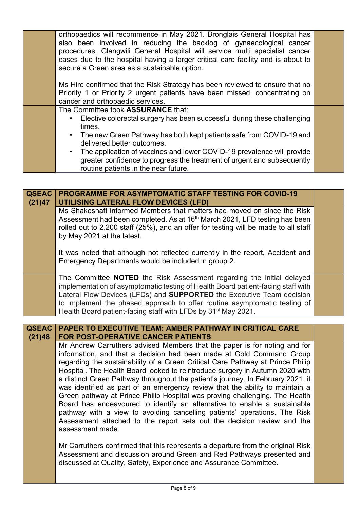|  | orthopaedics will recommence in May 2021. Bronglais General Hospital has              |  |
|--|---------------------------------------------------------------------------------------|--|
|  | also been involved in reducing the backlog of gynaecological cancer                   |  |
|  | procedures. Glangwili General Hospital will service multi specialist cancer           |  |
|  | cases due to the hospital having a larger critical care facility and is about to      |  |
|  | secure a Green area as a sustainable option.                                          |  |
|  |                                                                                       |  |
|  | Ms Hire confirmed that the Risk Strategy has been reviewed to ensure that no          |  |
|  | Priority 1 or Priority 2 urgent patients have been missed, concentrating on           |  |
|  | cancer and orthopaedic services.                                                      |  |
|  | The Committee took ASSURANCE that:                                                    |  |
|  | Elective colorectal surgery has been successful during these challenging<br>$\bullet$ |  |
|  | times.                                                                                |  |
|  | • The new Green Pathway has both kept patients safe from COVID-19 and                 |  |
|  | delivered better outcomes.                                                            |  |
|  | • The application of vaccines and lower COVID-19 prevalence will provide              |  |
|  | greater confidence to progress the treatment of urgent and subsequently               |  |
|  | routine patients in the near future.                                                  |  |
|  |                                                                                       |  |

| <b>QSEAC</b><br>(21)47 | <b>PROGRAMME FOR ASYMPTOMATIC STAFF TESTING FOR COVID-19</b><br><b>UTILISING LATERAL FLOW DEVICES (LFD)</b>                                                                                                                                                                                                                                                                                                |  |
|------------------------|------------------------------------------------------------------------------------------------------------------------------------------------------------------------------------------------------------------------------------------------------------------------------------------------------------------------------------------------------------------------------------------------------------|--|
|                        | Ms Shakeshaft informed Members that matters had moved on since the Risk<br>Assessment had been completed. As at 16 <sup>th</sup> March 2021, LFD testing has been<br>rolled out to 2,200 staff (25%), and an offer for testing will be made to all staff<br>by May 2021 at the latest.                                                                                                                     |  |
|                        | It was noted that although not reflected currently in the report, Accident and<br>Emergency Departments would be included in group 2.                                                                                                                                                                                                                                                                      |  |
|                        | The Committee <b>NOTED</b> the Risk Assessment regarding the initial delayed<br>implementation of asymptomatic testing of Health Board patient-facing staff with<br>Lateral Flow Devices (LFDs) and <b>SUPPORTED</b> the Executive Team decision<br>to implement the phased approach to offer routine asymptomatic testing of<br>Health Board patient-facing staff with LFDs by 31 <sup>st</sup> May 2021. |  |

| <b>QSEAC   PAPER TO EXECUTIVE TEAM: AMBER PATHWAY IN CRITICAL CARE  </b> |
|--------------------------------------------------------------------------|
| (21)48   FOR POST-OPERATIVE CANCER PATIENTS                              |

Mr Andrew Carruthers advised Members that the paper is for noting and for information, and that a decision had been made at Gold Command Group regarding the sustainability of a Green Critical Care Pathway at Prince Philip Hospital. The Health Board looked to reintroduce surgery in Autumn 2020 with a distinct Green Pathway throughout the patient's journey. In February 2021, it was identified as part of an emergency review that the ability to maintain a Green pathway at Prince Philip Hospital was proving challenging. The Health Board has endeavoured to identify an alternative to enable a sustainable pathway with a view to avoiding cancelling patients' operations. The Risk Assessment attached to the report sets out the decision review and the assessment made.

Mr Carruthers confirmed that this represents a departure from the original Risk Assessment and discussion around Green and Red Pathways presented and discussed at Quality, Safety, Experience and Assurance Committee.